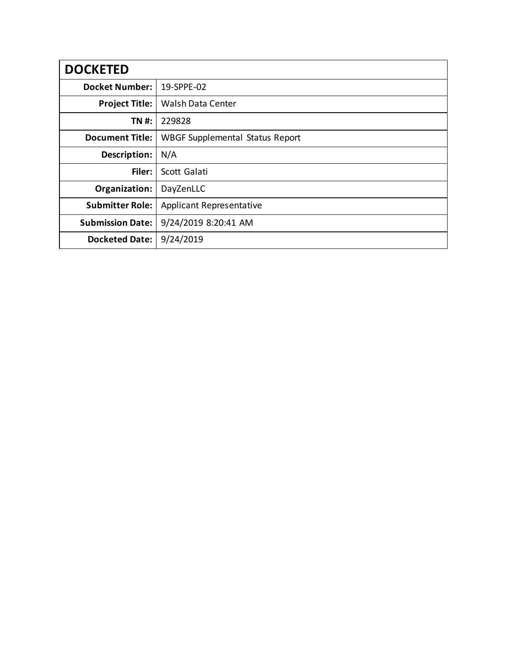| <b>DOCKETED</b>         |                                        |
|-------------------------|----------------------------------------|
| <b>Docket Number:</b>   | 19-SPPE-02                             |
| <b>Project Title:</b>   | Walsh Data Center                      |
| TN #:                   | 229828                                 |
| <b>Document Title:</b>  | <b>WBGF Supplemental Status Report</b> |
| Description:            | N/A                                    |
| Filer:                  | Scott Galati                           |
| Organization:           | DayZenLLC                              |
| <b>Submitter Role:</b>  | <b>Applicant Representative</b>        |
| <b>Submission Date:</b> | 9/24/2019 8:20:41 AM                   |
| <b>Docketed Date:</b>   | 9/24/2019                              |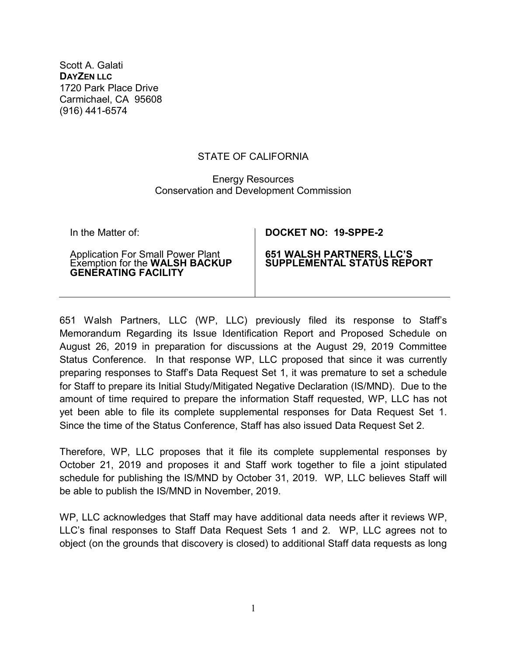Scott A. Galati **DAYZEN LLC** 1720 Park Place Drive Carmichael, CA 95608 (916) 441-6574

## STATE OF CALIFORNIA

## Energy Resources Conservation and Development Commission

Application For Small Power Plant Exemption for the **WALSH BACKUP GENERATING FACILITY**

## In the Matter of: **DOCKET NO: 19-SPPE-2**

## **651 WALSH PARTNERS, LLC'S SUPPLEMENTAL STATUS REPORT**

651 Walsh Partners, LLC (WP, LLC) previously filed its response to Staff's Memorandum Regarding its Issue Identification Report and Proposed Schedule on August 26, 2019 in preparation for discussions at the August 29, 2019 Committee Status Conference. In that response WP, LLC proposed that since it was currently preparing responses to Staff's Data Request Set 1, it was premature to set a schedule for Staff to prepare its Initial Study/Mitigated Negative Declaration (IS/MND). Due to the amount of time required to prepare the information Staff requested, WP, LLC has not yet been able to file its complete supplemental responses for Data Request Set 1. Since the time of the Status Conference, Staff has also issued Data Request Set 2.

Therefore, WP, LLC proposes that it file its complete supplemental responses by October 21, 2019 and proposes it and Staff work together to file a joint stipulated schedule for publishing the IS/MND by October 31, 2019. WP, LLC believes Staff will be able to publish the IS/MND in November, 2019.

WP, LLC acknowledges that Staff may have additional data needs after it reviews WP, LLC's final responses to Staff Data Request Sets 1 and 2. WP, LLC agrees not to object (on the grounds that discovery is closed) to additional Staff data requests as long